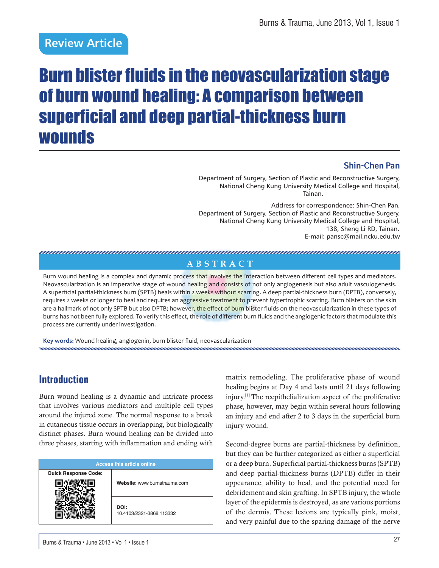## **Review Article**

# **Burn blister fluids in the neovascularization stage** of burn wound healing: A comparison between superficial and deep partial-thickness burn **wounds**

#### **Shin-Chen Pan**

Department of Surgery, Section of Plastic and Reconstructive Surgery, National Cheng Kung University Medical College and Hospital, Tainan.

Address for correspondence: Shin-Chen Pan, Department of Surgery, Section of Plastic and Reconstructive Surgery, National Cheng Kung University Medical College and Hospital, 138, Sheng Li RD, Tainan. E-mail: pansc@mail.ncku.edu.tw

#### **ABSTRACT**

Burn wound healing is a complex and dynamic process that involves the interaction between different cell types and mediators. Neovascularization is an imperative stage of wound healing and consists of not only angiogenesis but also adult vasculogenesis. A superficial partial-thickness burn (SPTB) heals within 2 weeks without scarring. A deep partial-thickness burn (DPTB), conversely, requires 2 weeks or longer to heal and requires an aggressive treatment to prevent hypertrophic scarring. Burn blisters on the skin are a hallmark of not only SPTB but also DPTB; however, the effect of burn blister fluids on the neovascularization in these types of burns has not been fully explored. To verify this effect, the role of different burn fluids and the angiogenic factors that modulate this process are currently under investigation.

Key words: Wound healing, angiogenin, burn blister fluid, neovascularization

#### **Introduction**

Burn wound healing is a dynamic and intricate process that involves various mediators and multiple cell types around the injured zone. The normal response to a break in cutaneous tissue occurs in overlapping, but biologically distinct phases. Burn wound healing can be divided into three phases, starting with inflammation and ending with

| <b>Access this article online</b> |                                  |
|-----------------------------------|----------------------------------|
| <b>Quick Response Code:</b>       |                                  |
|                                   | Website: www.burnstrauma.com     |
|                                   | DOI:<br>10.4103/2321-3868.113332 |

matrix remodeling. The proliferative phase of wound healing begins at Day 4 and lasts until 21 days following injury.[1] The reepithelialization aspect of the proliferative phase, however, may begin within several hours following an injury and end after 2 to 3 days in the superficial burn injury wound.

Second-degree burns are partial-thickness by definition, but they can be further categorized as either a superficial or a deep burn. Superficial partial-thickness burns (SPTB) and deep partial-thickness burns (DPTB) differ in their appearance, ability to heal, and the potential need for debridement and skin grafting. In SPTB injury, the whole layer of the epidermis is destroyed, as are various portions of the dermis. These lesions are typically pink, moist, and very painful due to the sparing damage of the nerve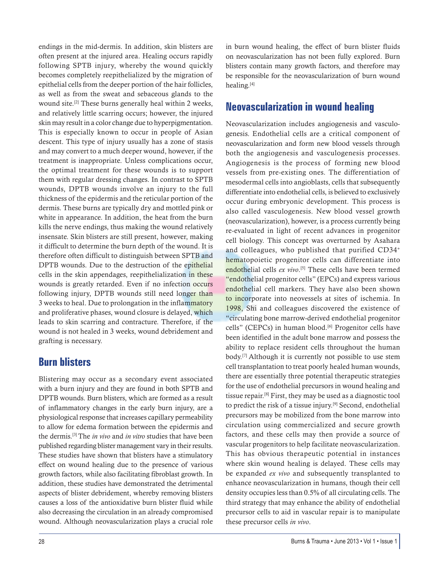endings in the mid-dermis. In addition, skin blisters are often present at the injured area. Healing occurs rapidly following SPTB injury, whereby the wound quickly becomes completely reepithelialized by the migration of epithelial cells from the deeper portion of the hair follicles, as well as from the sweat and sebaceous glands to the wound site.[2] These burns generally heal within 2 weeks, and relatively little scarring occurs; however, the injured skin may result in a color change due to hyperpigmentation. This is especially known to occur in people of Asian descent. This type of injury usually has a zone of stasis and may convert to a much deeper wound, however, if the treatment is inappropriate. Unless complications occur, the optimal treatment for these wounds is to support them with regular dressing changes. In contrast to SPTB wounds, DPTB wounds involve an injury to the full thickness of the epidermis and the reticular portion of the dermis. These burns are typically dry and mottled pink or white in appearance. In addition, the heat from the burn kills the nerve endings, thus making the wound relatively insensate. Skin blisters are still present, however, making it difficult to determine the burn depth of the wound. It is therefore often difficult to distinguish between SPTB and DPTB wounds. Due to the destruction of the epithelial cells in the skin appendages, reepithelialization in these wounds is greatly retarded. Even if no infection occurs following injury, DPTB wounds still need longer than 3 weeks to heal. Due to prolongation in the inflammatory and proliferative phases, wound closure is delayed, which leads to skin scarring and contracture. Therefore, if the wound is not healed in 3 weeks, wound debridement and grafting is necessary.

## **Burn blisters**

Blistering may occur as a secondary event associated with a burn injury and they are found in both SPTB and DPTB wounds. Burn blisters, which are formed as a result of inflammatory changes in the early burn injury, are a physiological response that increases capillary permeability to allow for edema formation between the epidermis and the dermis.[3] The *in vivo* and *in vitro* studies that have been published regarding blister management vary in their results. These studies have shown that blisters have a stimulatory effect on wound healing due to the presence of various growth factors, while also facilitating fibroblast growth. In addition, these studies have demonstrated the detrimental aspects of blister debridement, whereby removing blisters causes a loss of the antioxidative burn blister fluid while also decreasing the circulation in an already compromised wound. Although neovascularization plays a crucial role in burn wound healing, the effect of burn blister fluids on neovascularization has not been fully explored. Burn blisters contain many growth factors, and therefore may be responsible for the neovascularization of burn wound healing.[4]

### **Neovascularization in wound healing**

Neovascularization includes angiogenesis and vasculogenesis. Endothelial cells are a critical component of neovascularization and form new blood vessels through both the angiogenesis and vasculogenesis processes. Angiogenesis is the process of forming new blood vessels from pre-existing ones. The differentiation of mesodermal cells into angioblasts, cells that subsequently differentiate into endothelial cells, is believed to exclusively occur during embryonic development. This process is also called vasculogenesis. New blood vessel growth (neovascularization), however, is a process currently being re-evaluated in light of recent advances in progenitor cell biology. This concept was overturned by Asahara and colleagues, who published that purified CD34+ hematopoietic progenitor cells can differentiate into endothelial cells *ex vivo*. [5] These cells have been termed "endothelial progenitor cells" (EPCs) and express various endothelial cell markers. They have also been shown to incorporate into neovessels at sites of ischemia. In 1998, Shi and colleagues discovered the existence of "circulating bone marrow-derived endothelial progenitor cells" (CEPCs) in human blood.<sup>[6]</sup> Progenitor cells have been identified in the adult bone marrow and possess the ability to replace resident cells throughout the human body.[7] Although it is currently not possible to use stem cell transplantation to treat poorly healed human wounds, there are essentially three potential therapeutic strategies for the use of endothelial precursors in wound healing and tissue repair.[8] First, they may be used as a diagnostic tool to predict the risk of a tissue injury.[9] Second, endothelial precursors may be mobilized from the bone marrow into circulation using commercialized and secure growth factors, and these cells may then provide a source of vascular progenitors to help facilitate neovascularization. This has obvious therapeutic potential in instances where skin wound healing is delayed. These cells may be expanded *ex vivo* and subsequently transplanted to enhance neovascularization in humans, though their cell density occupies less than 0.5% of all circulating cells. The third strategy that may enhance the ability of endothelial precursor cells to aid in vascular repair is to manipulate these precursor cells *in vivo*.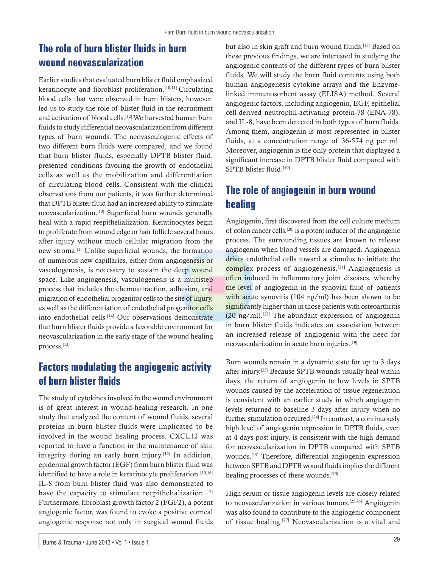### **The role of burn blister fluids in burn wound neovascularization**

Earlier studies that evaluated burn blister fluid emphasized keratinocyte and fibroblast proliferation.<sup>[10,11]</sup> Circulating blood cells that were observed in burn blisters, however, led us to study the role of blister fluid in the recruitment and activation of blood cells.<sup>[12]</sup> We harvested human burn fluids to study differential neovascularization from different types of burn wounds. The neovasculogenic effects of two different burn fluids were compared, and we found that burn blister fluids, especially DPTB blister fluid, presented conditions favoring the growth of endothelial cells as well as the mobilization and differentiation of circulating blood cells. Consistent with the clinical observations from our patients, it was further determined that DPTB blister fluid had an increased ability to stimulate neovascularization.[13] Superficial burn wounds generally heal with a rapid reepithelialization. Keratinocytes begin to proliferate from wound edge or hair follicle several hours after injury without much cellular migration from the new stroma.[1] Unlike superficial wounds, the formation of numerous new capillaries, either from angiogenesis or vasculogenesis, is necessary to sustain the deep wound space. Like angiogenesis, vasculogenesis is a multistep process that includes the chemoattraction, adhesion, and migration of endothelial progenitor cells to the site of injury, as well as the differentiation of endothelial progenitor cells into endothelial cells.<sup>[14]</sup> Our observations demonstrate that burn blister fluids provide a favorable environment for neovascularization in the early stage of the wound healing process.[13]

## **Factors modulating the angiogenic activity of burn blister fluids**

The study of cytokines involved in the wound environment is of great interest in wound-healing research. In one study that analyzed the content of wound fluids, several proteins in burn blister fluids were implicated to be involved in the wound healing process. CXCL12 was reported to have a function in the maintenance of skin integrity during an early burn injury.[15] In addition, epidermal growth factor (EGF) from burn blister fluid was identified to have a role in keratinocyte proliferation.<sup>[10,16]</sup> IL-8 from burn blister fluid was also demonstrated to have the capacity to stimulate reepithelialization.<sup>[17]</sup> Furthermore, fibroblast growth factor 2 (FGF2), a potent angiogenic factor, was found to evoke a positive corneal angiogenic response not only in surgical wound fluids but also in skin graft and burn wound fluids.<sup>[18]</sup> Based on these previous findings, we are interested in studying the angiogenic contents of the different types of burn blister fluids. We will study the burn fluid contents using both human angiogenesis cytokine arrays and the Enzymelinked immunosorbent assay (ELISA) method. Several angiogenic factors, including angiogenin, EGF, epithelial cell-derived neutrophil-activating protein-78 (ENA-78), and IL-8, have been detected in both types of burn fluids. Among them, angiogenin is most represented in blister fluids, at a concentration range of 36-574 ng per ml. Moreover, angiogenin is the only protein that displayed a significant increase in DPTB blister fluid compared with SPTB blister fluid.[19]

## **The role of angiogenin in burn wound healing**

Angiogenin, first discovered from the cell culture medium of colon cancer cells,[20] is a potent inducer of the angiogenic process. The surrounding tissues are known to release angiogenin when blood vessels are damaged. Angiogenin drives endothelial cells toward a stimulus to initiate the complex process of angiogenesis.[21] Angiogenesis is often induced in inflammatory joint diseases, whereby the level of angiogenin in the synovial fluid of patients with acute synovitis (104 ng/ml) has been shown to be significantly higher than in those patients with osteoarthritis (20 ng/ml).<sup>[22]</sup> The abundant expression of angiogenin in burn blister fluids indicates an association between an increased release of angiogenin with the need for neovascularization in acute burn injuries.[19]

Burn wounds remain in a dynamic state for up to 3 days after injury.[23] Because SPTB wounds usually heal within days, the return of angiogenin to low levels in SPTB wounds caused by the acceleration of tissue regeneration is consistent with an earlier study in which angiogenin levels returned to baseline 3 days after injury when no further stimulation occurred.<sup>[24]</sup> In contrast, a continuously high level of angiogenin expression in DPTB fluids, even at 4 days post injury, is consistent with the high demand for neovascularization in DPTB compared with SPTB wounds.[19] Therefore, differential angiogenin expression between SPTB and DPTB wound fluids implies the different healing processes of these wounds.<sup>[19]</sup>

High serum or tissue angiogenin levels are closely related to neovascularization in various tumors.[25,26] Angiogenin was also found to contribute to the angiogenic component of tissue healing.[27] Neovascularization is a vital and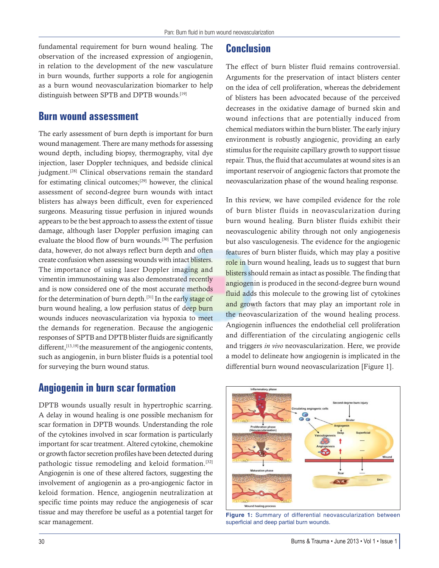fundamental requirement for burn wound healing. The observation of the increased expression of angiogenin, in relation to the development of the new vasculature in burn wounds, further supports a role for angiogenin as a burn wound neovascularization biomarker to help distinguish between SPTB and DPTB wounds.[19]

#### **Burn wound assessment**

The early assessment of burn depth is important for burn wound management. There are many methods for assessing wound depth, including biopsy, thermography, vital dye injection, laser Doppler techniques, and bedside clinical judgment.<sup>[28]</sup> Clinical observations remain the standard for estimating clinical outcomes;[29] however, the clinical assessment of second-degree burn wounds with intact blisters has always been difficult, even for experienced surgeons. Measuring tissue perfusion in injured wounds appears to be the best approach to assess the extent of tissue damage, although laser Doppler perfusion imaging can evaluate the blood flow of burn wounds.[30] The perfusion data, however, do not always reflect burn depth and often create confusion when assessing wounds with intact blisters. The importance of using laser Doppler imaging and vimentin immunostaining was also demonstrated recently and is now considered one of the most accurate methods for the determination of burn depth.[31] In the early stage of burn wound healing, a low perfusion status of deep burn wounds induces neovascularization via hypoxia to meet the demands for regeneration. Because the angiogenic responses of SPTB and DPTB blister fluids are significantly different,<sup>[13,19]</sup> the measurement of the angiogenic contents, such as angiogenin, in burn blister fluids is a potential tool for surveying the burn wound status.

## **Angiogenin in burn scar formation**

DPTB wounds usually result in hypertrophic scarring. A delay in wound healing is one possible mechanism for scar formation in DPTB wounds. Understanding the role of the cytokines involved in scar formation is particularly important for scar treatment. Altered cytokine, chemokine or growth factor secretion profiles have been detected during pathologic tissue remodeling and keloid formation.<sup>[32]</sup> Angiogenin is one of these altered factors, suggesting the involvement of angiogenin as a pro-angiogenic factor in keloid formation. Hence, angiogenin neutralization at specific time points may reduce the angiogenesis of scar tissue and may therefore be useful as a potential target for scar management.

#### **Conclusion**

The effect of burn blister fluid remains controversial. Arguments for the preservation of intact blisters center on the idea of cell proliferation, whereas the debridement of blisters has been advocated because of the perceived decreases in the oxidative damage of burned skin and wound infections that are potentially induced from chemical mediators within the burn blister. The early injury environment is robustly angiogenic, providing an early stimulus for the requisite capillary growth to support tissue repair. Thus, the fluid that accumulates at wound sites is an important reservoir of angiogenic factors that promote the neovascularization phase of the wound healing response.

In this review, we have compiled evidence for the role of burn blister fluids in neovascularization during burn wound healing. Burn blister fluids exhibit their neovasculogenic ability through not only angiogenesis but also vasculogenesis. The evidence for the angiogenic features of burn blister fluids, which may play a positive role in burn wound healing, leads us to suggest that burn blisters should remain as intact as possible. The finding that angiogenin is produced in the second-degree burn wound fluid adds this molecule to the growing list of cytokines and growth factors that may play an important role in the neovascularization of the wound healing process. Angiogenin influences the endothelial cell proliferation and differentiation of the circulating angiogenic cells and triggers *in vivo* neovascularization. Here, we provide a model to delineate how angiogenin is implicated in the differential burn wound neovascularization [Figure 1].



**Figure 1:** Summary of differential neovascularization between superficial and deep partial burn wounds.